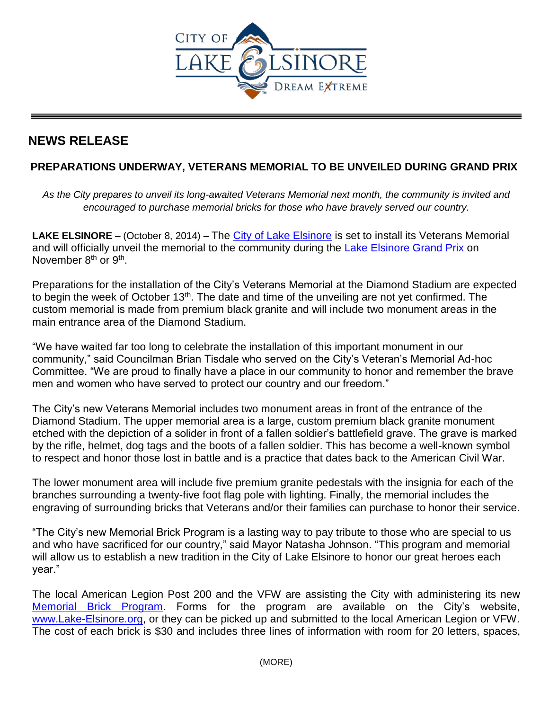

## **NEWS RELEASE**

## **PREPARATIONS UNDERWAY, VETERANS MEMORIAL TO BE UNVEILED DURING GRAND PRIX**

As the City prepares to unveil its long-awaited Veterans Memorial next month, the community is invited and *encouraged to purchase memorial bricks for those who have bravely served our country.* 

**LAKE ELSINORE** – (October 8, 2014) – The [City of Lake Elsinore](http://www.lake-elsinore.org/) is set to install its Veterans Memorial and will officially unveil the memorial to the community during the [Lake Elsinore Grand Prix](http://lakeelsinoregp.com/) on November 8<sup>th</sup> or 9<sup>th</sup>.

Preparations for the installation of the City's Veterans Memorial at the Diamond Stadium are expected to begin the week of October  $13<sup>th</sup>$ . The date and time of the unveiling are not yet confirmed. The custom memorial is made from premium black granite and will include two monument areas in the main entrance area of the Diamond Stadium.

"We have waited far too long to celebrate the installation of this important monument in our community," said Councilman Brian Tisdale who served on the City's Veteran's Memorial Ad-hoc Committee. "We are proud to finally have a place in our community to honor and remember the brave men and women who have served to protect our country and our freedom."

The City's new Veterans Memorial includes two monument areas in front of the entrance of the Diamond Stadium. The upper memorial area is a large, custom premium black granite monument etched with the depiction of a solider in front of a fallen soldier's battlefield grave. The grave is marked by the rifle, helmet, dog tags and the boots of a fallen soldier. This has become a well-known symbol to respect and honor those lost in battle and is a practice that dates back to the American Civil War.

The lower monument area will include five premium granite pedestals with the insignia for each of the branches surrounding a twenty-five foot flag pole with lighting. Finally, the memorial includes the engraving of surrounding bricks that Veterans and/or their families can purchase to honor their service.

"The City's new Memorial Brick Program is a lasting way to pay tribute to those who are special to us and who have sacrificed for our country," said Mayor Natasha Johnson. "This program and memorial will allow us to establish a new tradition in the City of Lake Elsinore to honor our great heroes each year."

The local American Legion Post 200 and the VFW are assisting the City with administering its new [Memorial Brick Program.](http://www.lake-elsinore.org/Modules/ShowDocument.aspx?documentid=13718) Forms for the program are available on the City's website, [www.Lake-Elsinore.org,](http://www.lake-elsinore.org/) or they can be picked up and submitted to the local American Legion or VFW. The cost of each brick is \$30 and includes three lines of information with room for 20 letters, spaces,